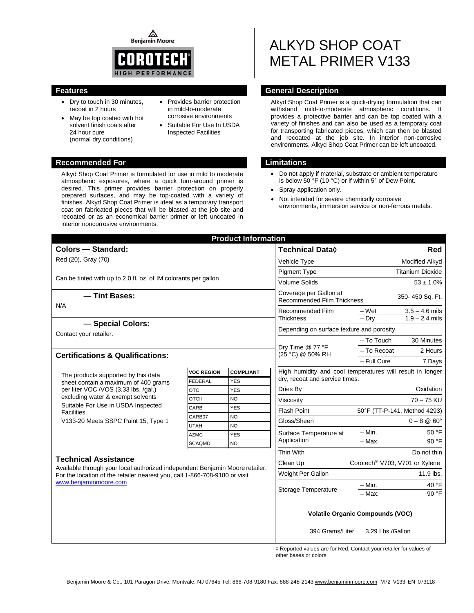**Benjamin Moore** 



- Dry to touch in 30 minutes, recoat in 2 hours
- May be top coated with hot solvent finish coats after 24 hour cure (normal dry conditions)
- Provides barrier protection in mild-to-moderate corrosive environments
- Suitable For Use In USDA Inspected Facilities

### **Recommended For Limitations**

Alkyd Shop Coat Primer is formulated for use in mild to moderate atmospheric exposures, where a quick turn-around primer is desired. This primer provides barrier protection on properly prepared surfaces, and may be top-coated with a variety of finishes. Alkyd Shop Coat Primer is ideal as a temporary transport coat on fabricated pieces that will be blasted at the job site and recoated or as an economical barrier primer or left uncoated in interior noncorrosive environments.

# ALKYD SHOP COAT METAL PRIMER V133

# **Features General Description**

Alkyd Shop Coat Primer is a quick-drying formulation that can withstand mild-to-moderate atmospheric conditions. It provides a protective barrier and can be top coated with a variety of finishes and can also be used as a temporary coat for transporting fabricated pieces, which can then be blasted and recoated at the job site. In interior non-corrosive environments, Alkyd Shop Coat Primer can be left uncoated.

- Do not apply if material, substrate or ambient temperature is below 50 °F (10 °C) or if within 5° of Dew Point.
- Spray application only.
- Not intended for severe chemically corrosive environments, immersion service or non-ferrous metals.

| <b>Product Information</b>                                                                                                                                                                                                                                 |                   |                  |                                                                                |                                                           |  |  |
|------------------------------------------------------------------------------------------------------------------------------------------------------------------------------------------------------------------------------------------------------------|-------------------|------------------|--------------------------------------------------------------------------------|-----------------------------------------------------------|--|--|
| <b>Colors - Standard:</b>                                                                                                                                                                                                                                  |                   |                  | <b>Technical Data</b> ♦                                                        | Red                                                       |  |  |
| Red (20), Gray (70)                                                                                                                                                                                                                                        |                   |                  | Vehicle Type                                                                   | Modified Alkyd                                            |  |  |
|                                                                                                                                                                                                                                                            |                   |                  | <b>Pigment Type</b>                                                            | <b>Titanium Dioxide</b>                                   |  |  |
| Can be tinted with up to 2.0 fl. oz. of IM colorants per gallon                                                                                                                                                                                            |                   |                  | <b>Volume Solids</b>                                                           | $53 \pm 1.0\%$                                            |  |  |
| - Tint Bases:<br>N/A                                                                                                                                                                                                                                       |                   |                  | Coverage per Gallon at<br>350-450 Sq. Ft.<br><b>Recommended Film Thickness</b> |                                                           |  |  |
|                                                                                                                                                                                                                                                            |                   |                  | Recommended Film<br><b>Thickness</b>                                           | – Wet<br>$3.5 - 4.6$ mils                                 |  |  |
| - Special Colors:                                                                                                                                                                                                                                          |                   |                  |                                                                                | $-$ Drv<br>$1.9 - 2.4$ mils                               |  |  |
| Contact your retailer.                                                                                                                                                                                                                                     |                   |                  | Depending on surface texture and porosity.                                     |                                                           |  |  |
|                                                                                                                                                                                                                                                            |                   |                  |                                                                                | $-$ To Touch<br>30 Minutes                                |  |  |
|                                                                                                                                                                                                                                                            |                   |                  | Dry Time @ 77 °F<br>(25 °C) @ 50% RH                                           | - To Recoat<br>2 Hours                                    |  |  |
| <b>Certifications &amp; Qualifications:</b>                                                                                                                                                                                                                |                   |                  |                                                                                | - Full Cure<br>7 Days                                     |  |  |
|                                                                                                                                                                                                                                                            | <b>VOC REGION</b> | <b>COMPLIANT</b> |                                                                                | High humidity and cool temperatures will result in longer |  |  |
| The products supported by this data<br>sheet contain a maximum of 400 grams<br>per liter VOC /VOS (3.33 lbs. /gal.)<br>excluding water & exempt solvents<br>Suitable For Use In USDA Inspected<br><b>Facilities</b><br>V133-20 Meets SSPC Paint 15, Type 1 | <b>FEDERAL</b>    | <b>YES</b>       | dry, recoat and service times.                                                 |                                                           |  |  |
|                                                                                                                                                                                                                                                            | <b>OTC</b>        | <b>YES</b>       | Oxidation<br>Dries By                                                          |                                                           |  |  |
|                                                                                                                                                                                                                                                            | <b>OTCII</b>      | <b>NO</b>        | $70 - 75$ KU<br>Viscosity                                                      |                                                           |  |  |
|                                                                                                                                                                                                                                                            | CARB              | <b>YES</b>       | <b>Flash Point</b><br>50°F (TT-P-141, Method 4293)                             |                                                           |  |  |
|                                                                                                                                                                                                                                                            | CARB07            | <b>NO</b>        | Gloss/Sheen                                                                    | $0 - 8$ @ 60 $^{\circ}$                                   |  |  |
|                                                                                                                                                                                                                                                            | <b>UTAH</b>       | <b>NO</b>        | Surface Temperature at<br>Application<br>Thin With                             | 50 °F<br>– Min.                                           |  |  |
|                                                                                                                                                                                                                                                            | <b>AZMC</b>       | <b>YES</b>       |                                                                                | $-$ Max.<br>90 °F                                         |  |  |
|                                                                                                                                                                                                                                                            | <b>SCAQMD</b>     | <b>NO</b>        |                                                                                | Do not thin                                               |  |  |
| <b>Technical Assistance</b>                                                                                                                                                                                                                                |                   |                  |                                                                                |                                                           |  |  |
| Available through your local authorized independent Benjamin Moore retailer.                                                                                                                                                                               |                   |                  | Clean Up                                                                       | Corotech <sup>®</sup> V703, V701 or Xylene                |  |  |
| For the location of the retailer nearest you, call 1-866-708-9180 or visit                                                                                                                                                                                 |                   |                  | Weight Per Gallon                                                              | $11.9$ lbs.                                               |  |  |
| www.benjaminmoore.com                                                                                                                                                                                                                                      |                   |                  | $- Min.$<br>40 $\degree$ F<br>Storage Temperature                              |                                                           |  |  |
|                                                                                                                                                                                                                                                            |                   |                  | - Max.<br>90 °F                                                                |                                                           |  |  |
|                                                                                                                                                                                                                                                            |                   |                  |                                                                                | <b>Volatile Organic Compounds (VOC)</b>                   |  |  |
|                                                                                                                                                                                                                                                            |                   |                  | 394 Grams/Liter                                                                | 3.29 Lbs./Gallon                                          |  |  |

◊ Reported values are for Red. Contact your retailer for values of other bases or colors.